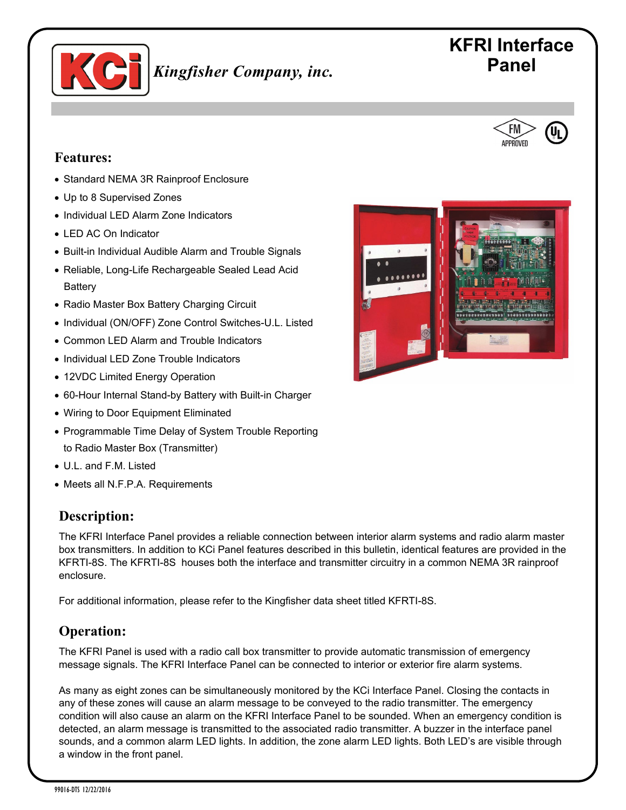

# **Panel** *Kingfisher Company, inc.* Panel

# **KFRI Interface**



- Standard NEMA 3R Rainproof Enclosure
- Up to 8 Supervised Zones
- Individual LED Alarm Zone Indicators
- LED AC On Indicator
- Built-in Individual Audible Alarm and Trouble Signals
- Reliable, Long-Life Rechargeable Sealed Lead Acid **Battery**
- Radio Master Box Battery Charging Circuit
- Individual (ON/OFF) Zone Control Switches-U.L. Listed
- Common LED Alarm and Trouble Indicators
- Individual LED Zone Trouble Indicators
- 12VDC Limited Energy Operation
- 60-Hour Internal Stand-by Battery with Built-in Charger
- Wiring to Door Equipment Eliminated
- Programmable Time Delay of System Trouble Reporting to Radio Master Box (Transmitter)
- U.L. and F.M. Listed
- Meets all N.F.P.A. Requirements

#### **Description:**

The KFRI Interface Panel provides a reliable connection between interior alarm systems and radio alarm master box transmitters. In addition to KCi Panel features described in this bulletin, identical features are provided in the KFRTI-8S. The KFRTI-8S houses both the interface and transmitter circuitry in a common NEMA 3R rainproof enclosure.

For additional information, please refer to the Kingfisher data sheet titled KFRTI-8S.

## **Operation:**

The KFRI Panel is used with a radio call box transmitter to provide automatic transmission of emergency message signals. The KFRI Interface Panel can be connected to interior or exterior fire alarm systems.

As many as eight zones can be simultaneously monitored by the KCi Interface Panel. Closing the contacts in any of these zones will cause an alarm message to be conveyed to the radio transmitter. The emergency condition will also cause an alarm on the KFRI Interface Panel to be sounded. When an emergency condition is detected, an alarm message is transmitted to the associated radio transmitter. A buzzer in the interface panel sounds, and a common alarm LED lights. In addition, the zone alarm LED lights. Both LED's are visible through a window in the front panel.